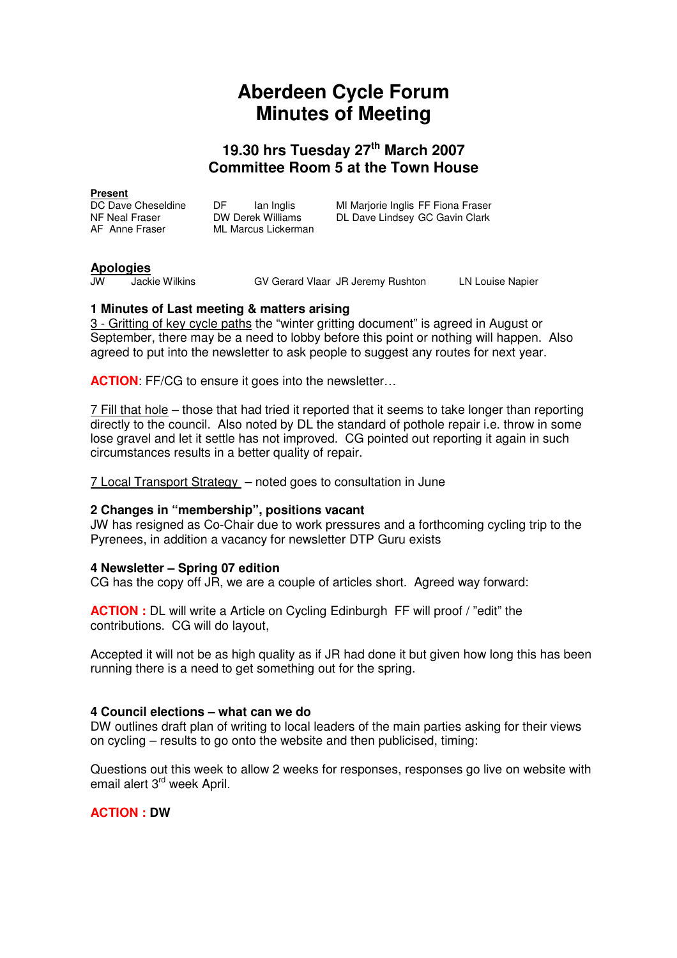# **Aberdeen Cycle Forum Minutes of Meeting**

## **19.30 hrs Tuesday 27th March 2007 Committee Room 5 at the Town House**

**Present**<br>DC Dave Cheseldine DC Dave Cheseldine DF Ian Inglis MI Marjorie Inglis FF Fiona Fraser<br>NF Neal Fraser DW Derek Williams DL Dave Lindsey GC Gavin Clark NF Neal Fraser COM Derek Williams DL Dave Lindsey GC Gavin Clark<br>AF Anne Fraser ML Marcus Lickerman **ML Marcus Lickerman** 

**Apologies**

GV Gerard Vlaar JR Jeremy Rushton LN Louise Napier

### **1 Minutes of Last meeting & matters arising**

3 - Gritting of key cycle paths the "winter gritting document" is agreed in August or September, there may be a need to lobby before this point or nothing will happen. Also agreed to put into the newsletter to ask people to suggest any routes for next year.

**ACTION:** FF/CG to ensure it goes into the newsletter...

7 Fill that hole – those that had tried it reported that it seems to take longer than reporting directly to the council. Also noted by DL the standard of pothole repair i.e. throw in some lose gravel and let it settle has not improved. CG pointed out reporting it again in such circumstances results in a better quality of repair.

7 Local Transport Strategy – noted goes to consultation in June

#### **2 Changes in "membership", positions vacant**

JW has resigned as Co-Chair due to work pressures and a forthcoming cycling trip to the Pyrenees, in addition a vacancy for newsletter DTP Guru exists

#### **4 Newsletter – Spring 07 edition**

CG has the copy off JR, we are a couple of articles short. Agreed way forward:

**ACTION :** DL will write a Article on Cycling Edinburgh FF will proof / "edit" the contributions. CG will do layout,

Accepted it will not be as high quality as if JR had done it but given how long this has been running there is a need to get something out for the spring.

#### **4 Council elections – what can we do**

DW outlines draft plan of writing to local leaders of the main parties asking for their views on cycling – results to go onto the website and then publicised, timing:

Questions out this week to allow 2 weeks for responses, responses go live on website with email alert 3<sup>rd</sup> week April.

**ACTION : DW**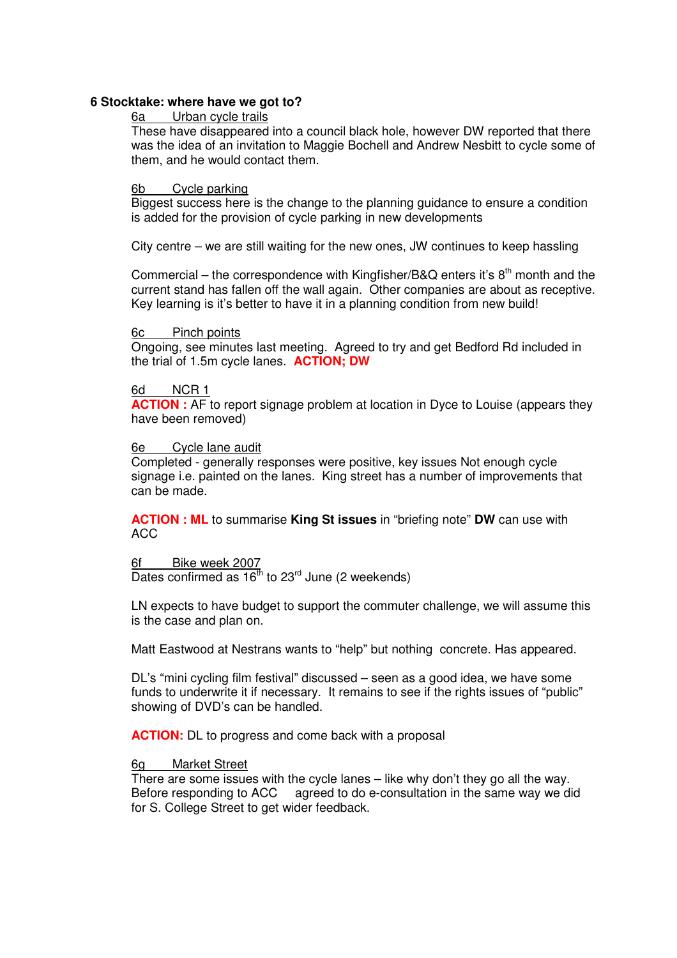#### **6 Stocktake: where have we got to?**

#### 6a Urban cycle trails

These have disappeared into a council black hole, however DW reported that there was the idea of an invitation to Maggie Bochell and Andrew Nesbitt to cycle some of them, and he would contact them.

#### 6b Cycle parking

Biggest success here is the change to the planning guidance to ensure a condition is added for the provision of cycle parking in new developments

City centre – we are still waiting for the new ones, JW continues to keep hassling

Commercial – the correspondence with Kingfisher/B&Q enters it's  $8<sup>th</sup>$  month and the current stand has fallen off the wall again. Other companies are about as receptive. Key learning is it's better to have it in a planning condition from new build!

#### 6c Pinch points

Ongoing, see minutes last meeting. Agreed to try and get Bedford Rd included in the trial of 1.5m cycle lanes. **ACTION; DW**

#### 6d NCR 1

**ACTION :** AF to report signage problem at location in Dyce to Louise (appears they have been removed)

#### 6e Cycle lane audit

Completed - generally responses were positive, key issues Not enough cycle signage i.e. painted on the lanes. King street has a number of improvements that can be made.

**ACTION : ML** to summarise **King St issues** in "briefing note" **DW** can use with ACC

### 6f Bike week 2007

Dates confirmed as  $16^{th}$  to 23<sup>rd</sup> June (2 weekends)

LN expects to have budget to support the commuter challenge, we will assume this is the case and plan on.

Matt Eastwood at Nestrans wants to "help" but nothing concrete. Has appeared.

DL's "mini cycling film festival" discussed – seen as a good idea, we have some funds to underwrite it if necessary. It remains to see if the rights issues of "public" showing of DVD's can be handled.

**ACTION:** DL to progress and come back with a proposal

#### 6g Market Street

There are some issues with the cycle lanes – like why don't they go all the way. Before responding to ACC agreed to do e-consultation in the same way we did for S. College Street to get wider feedback.